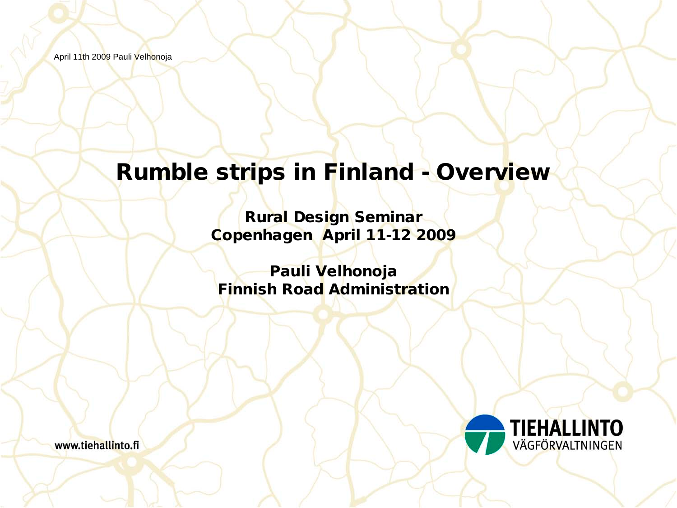April 11th 2009 Pauli Velhonoja

## Rumble strips in Finland - Overview

Rural Design Seminar Copenhagen April 11-12 2009

Pauli Velhonoja Finnish Road Administration

www.tiehallinto.fi

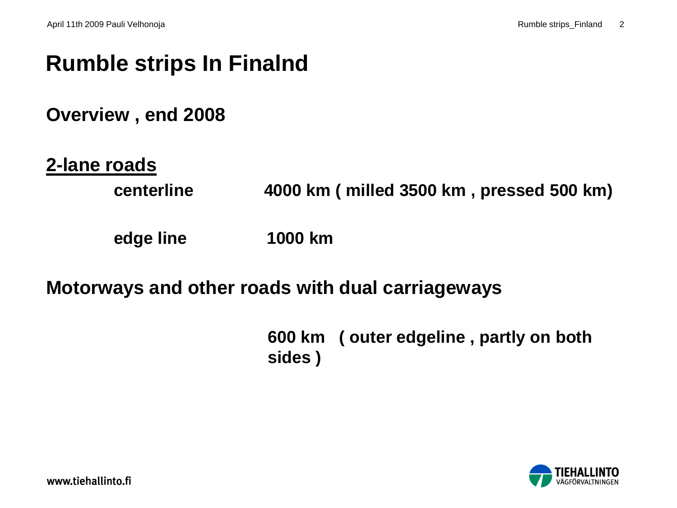## **Rumble strips In Finalnd**

#### **Overview , end 2008**

### **2-lane roads**

**centerline 4000 km ( milled 3500 km , pressed 500 km)**

**edge line 1000 km**

#### **Motorways and other roads with dual carriageways**

**600 km ( outer edgeline , partly on both sides )**

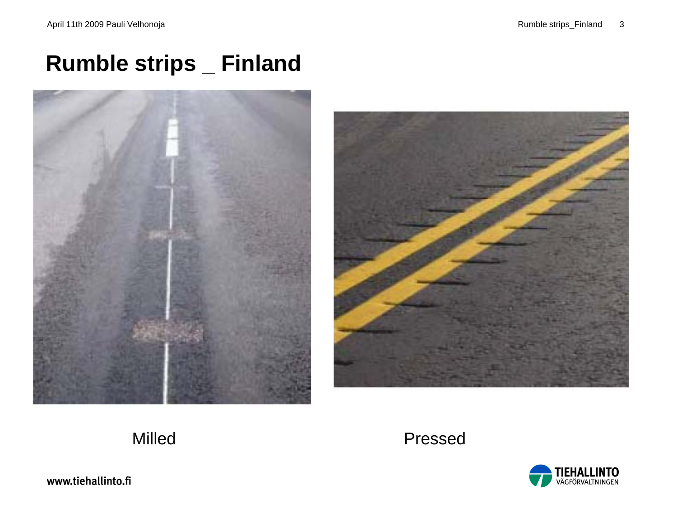## **Rumble strips \_ Finland**





Milled Pressed



www.tiehallinto.fi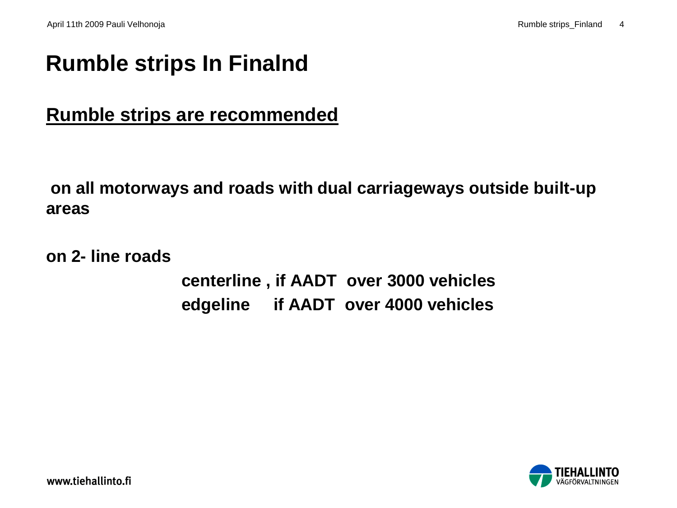## **Rumble strips In Finalnd**

### **Rumble strips are recommended**

**on all motorways and roads with dual carriageways outside built-up areas**

**on 2- line roads** 

**centerline , if AADT over 3000 vehicles edgeline if AADT over 4000 vehicles** 

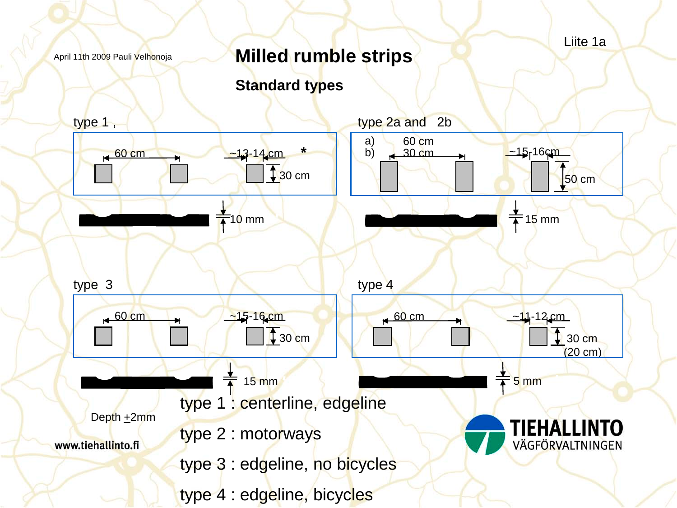Liite 1a

April 11th 2009 Pauli Velhonoja

#### **Milled rumble strips**

#### **Standard types**

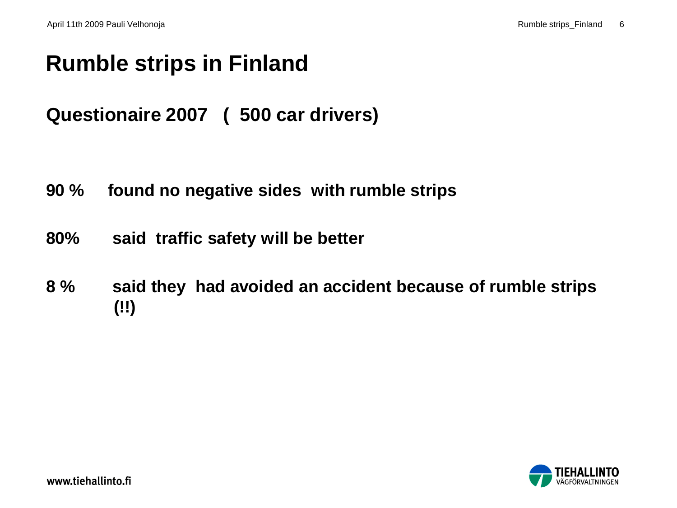## **Rumble strips in Finland**

**Questionaire 2007 ( 500 car drivers)**

- **90 % found no negative sides with rumble strips**
- **80% said traffic safety will be better**
- **8 % said they had avoided an accident because of rumble strips (!!)**

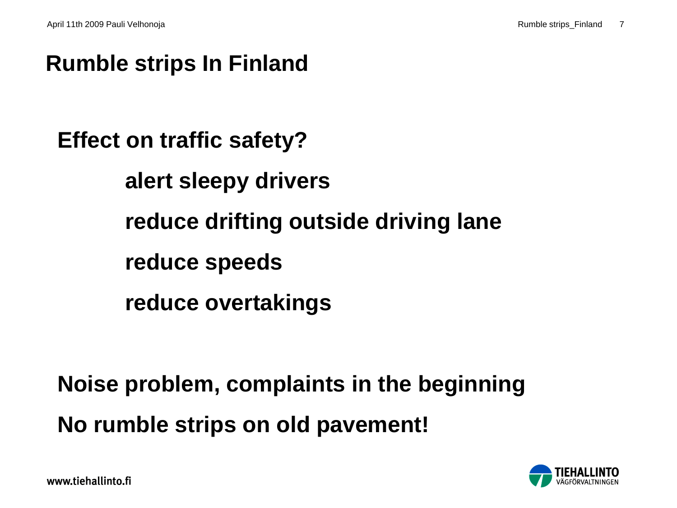## **Rumble strips In Finland**

**Effect on traffic safety?**

**alert sleepy drivers**

**reduce drifting outside driving lane**

**reduce speeds**

**reduce overtakings**

**Noise problem, complaints in the beginning No rumble strips on old pavement!** 

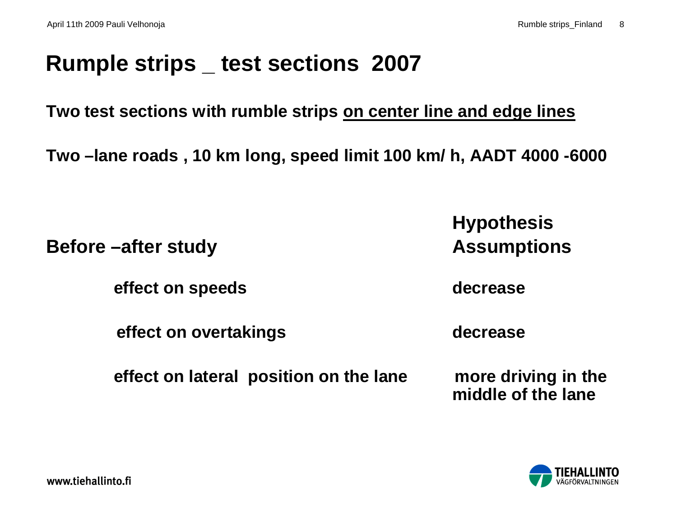## **Rumple strips \_ test sections 2007**

**Two test sections with rumble strips on center line and edge lines**

**Two –lane roads , 10 km long, speed limit 100 km/ h, AADT 4000 -6000**

**Before –after study Assumptions**

**effect on speeds decrease**

**effect on overtakings decrease**

**effect on lateral position on the lane more driving in the** 

**Hypothesis**

**middle of the lane**

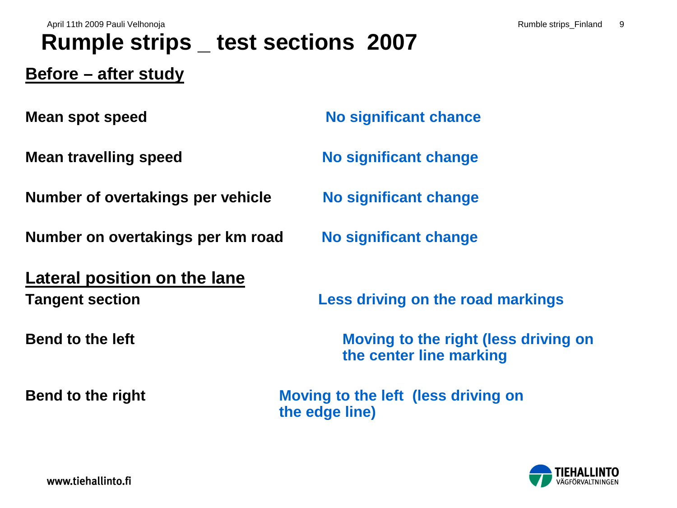April 11th 2009 Pauli Velhonoja **Rumble strips\_Finland** 9

# **Rumple strips \_ test sections 2007**

#### **Before – after study**

**Number of overtakings per vehicle Mo significant change** 

**Number on overtakings per km road No significant change**

**Lateral position on the lane**

**Mean spot speed No significant chance** 

**Mean travelling speed No significant change** 

**Tangent section Less driving on the road markings**

**Bend to the left Moving to the right (less driving on a set of the right control on a set of the right (less driving on**  $\blacksquare$ **) the center line marking**

**Bend to the right Moving to the left (less driving on the edge line)**

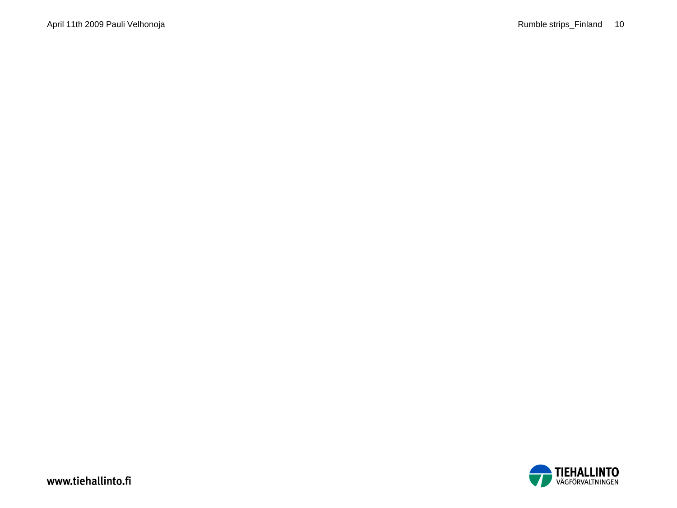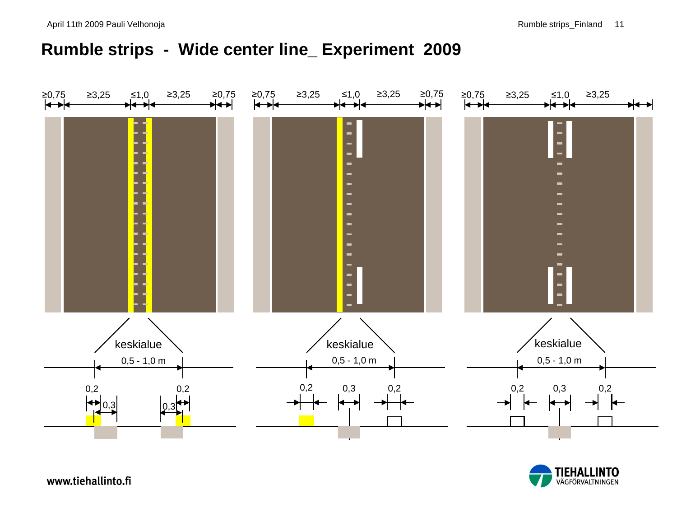#### **Rumble strips - Wide center line\_ Experiment 2009**





www.tiehallinto.fi